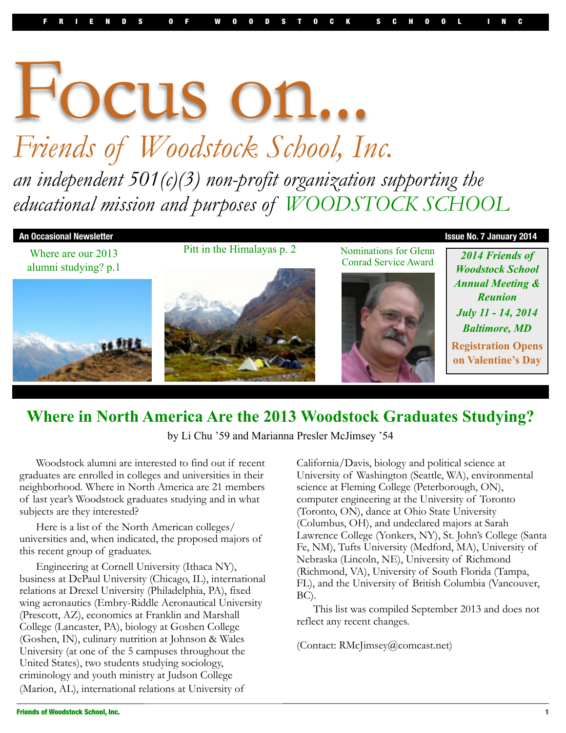# Focus on... *Friends of Woodstock School, Inc. an independent 501(c)(3) non-profit organization supporting the educational mission and purposes of WOODSTOCK SCHOOL*



## **Where in North America Are the 2013 Woodstock Graduates Studying?**

by Li Chu '59 and Marianna Presler McJimsey '54

 Woodstock alumni are interested to find out if recent graduates are enrolled in colleges and universities in their neighborhood. Where in North America are 21 members of last year's Woodstock graduates studying and in what subjects are they interested?

 Here is a list of the North American colleges/ universities and, when indicated, the proposed majors of this recent group of graduates.

 Engineering at Cornell University (Ithaca NY), business at DePaul University (Chicago, IL), international relations at Drexel University (Philadelphia, PA), fixed wing aeronautics (Embry-Riddle Aeronautical University (Prescott, AZ), economics at Franklin and Marshall College (Lancaster, PA), biology at Goshen College (Goshen, IN), culinary nutrition at Johnson & Wales University (at one of the 5 campuses throughout the United States), two students studying sociology, criminology and youth ministry at Judson College (Marion, AL), international relations at University of

California/Davis, biology and political science at University of Washington (Seattle, WA), environmental science at Fleming College (Peterborough, ON), computer engineering at the University of Toronto (Toronto, ON), dance at Ohio State University (Columbus, OH), and undeclared majors at Sarah Lawrence College (Yonkers, NY), St. John's College (Santa Fe, NM), Tufts University (Medford, MA), University of Nebraska (Lincoln, NE), University of Richmond (Richmond, VA), University of South Florida (Tampa, FL), and the University of British Columbia (Vancouver, BC).

 This list was compiled September 2013 and does not reflect any recent changes.

(Contact: RMcJimsey@comcast.net)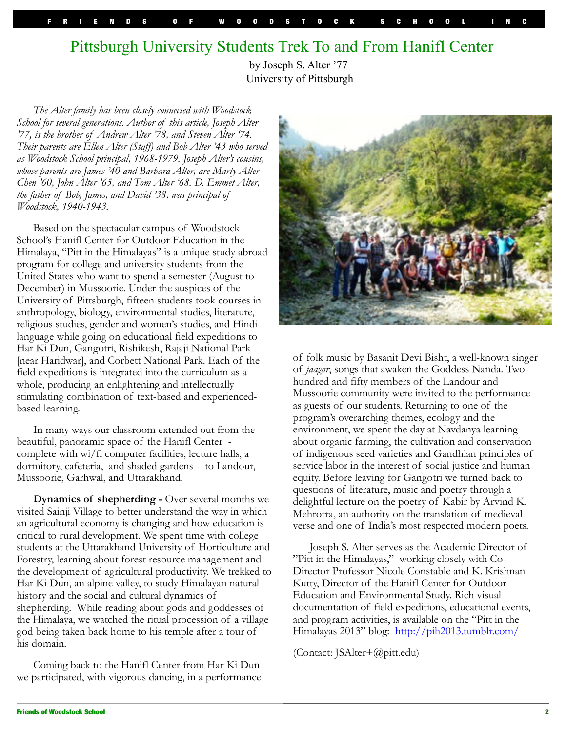# Pittsburgh University Students Trek To and From Hanifl Center

by Joseph S. Alter '77 University of Pittsburgh

*The Alter family has been closely connected with Woodstock School for several generations. Author of this article, Joseph Alter '77, is the brother of Andrew Alter '78, and Steven Alter '74. Their parents are Ellen Alter (Staff) and Bob Alter '43 who served as Woodstock School principal, 1968-1979. Joseph Alter's cousins, whose parents are James '40 and Barbara Alter, are Marty Alter Chen '60, John Alter '65, and Tom Alter '68. D. Emmet Alter, the father of Bob, James, and David '38, was principal of Woodstock, 1940-1943.*

Based on the spectacular campus of Woodstock School's Hanifl Center for Outdoor Education in the Himalaya, "Pitt in the Himalayas" is a unique study abroad program for college and university students from the United States who want to spend a semester (August to December) in Mussoorie. Under the auspices of the University of Pittsburgh, fifteen students took courses in anthropology, biology, environmental studies, literature, religious studies, gender and women's studies, and Hindi language while going on educational field expeditions to Har Ki Dun, Gangotri, Rishikesh, Rajaji National Park [near Haridwar], and Corbett National Park. Each of the field expeditions is integrated into the curriculum as a whole, producing an enlightening and intellectually stimulating combination of text-based and experiencedbased learning.

In many ways our classroom extended out from the beautiful, panoramic space of the Hanifl Center complete with wi/fi computer facilities, lecture halls, a dormitory, cafeteria, and shaded gardens - to Landour, Mussoorie, Garhwal, and Uttarakhand.

**Dynamics of shepherding - Over several months we** visited Sainji Village to better understand the way in which an agricultural economy is changing and how education is critical to rural development. We spent time with college students at the Uttarakhand University of Horticulture and Forestry, learning about forest resource management and the development of agricultural productivity. We trekked to Har Ki Dun, an alpine valley, to study Himalayan natural history and the social and cultural dynamics of shepherding. While reading about gods and goddesses of the Himalaya, we watched the ritual procession of a village god being taken back home to his temple after a tour of his domain.

Coming back to the Hanifl Center from Har Ki Dun we participated, with vigorous dancing, in a performance



of folk music by Basanit Devi Bisht, a well-known singer of *jaagar*, songs that awaken the Goddess Nanda. Twohundred and fifty members of the Landour and Mussoorie community were invited to the performance as guests of our students. Returning to one of the program's overarching themes, ecology and the environment, we spent the day at Navdanya learning about organic farming, the cultivation and conservation of indigenous seed varieties and Gandhian principles of service labor in the interest of social justice and human equity. Before leaving for Gangotri we turned back to questions of literature, music and poetry through a delightful lecture on the poetry of Kabir by Arvind K. Mehrotra, an authority on the translation of medieval verse and one of India's most respected modern poets.

Joseph S. Alter serves as the Academic Director of "Pitt in the Himalayas," working closely with Co-Director Professor Nicole Constable and K. Krishnan Kutty, Director of the Hanifl Center for Outdoor Education and Environmental Study. Rich visual documentation of field expeditions, educational events, and program activities, is available on the "Pitt in the Himalayas 2013" blog: <http://pih2013.tumblr.com/>

(Contact: JSAlter+@pitt.edu)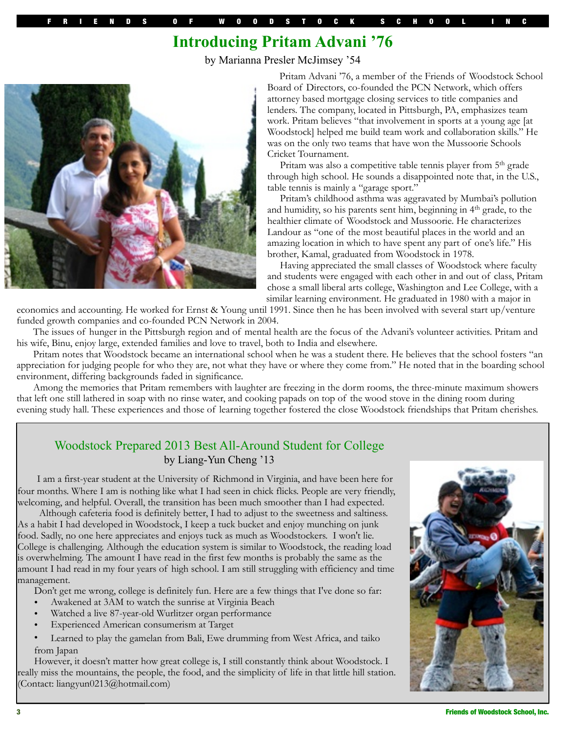## **Introducing Pritam Advani '76**

by Marianna Presler McJimsey '54



 Pritam Advani '76, a member of the Friends of Woodstock School Board of Directors, co-founded the PCN Network, which offers attorney based mortgage closing services to title companies and lenders. The company, located in Pittsburgh, PA, emphasizes team work. Pritam believes "that involvement in sports at a young age [at Woodstock] helped me build team work and collaboration skills." He was on the only two teams that have won the Mussoorie Schools Cricket Tournament.

Pritam was also a competitive table tennis player from 5<sup>th</sup> grade through high school. He sounds a disappointed note that, in the U.S., table tennis is mainly a "garage sport."

 Pritam's childhood asthma was aggravated by Mumbai's pollution and humidity, so his parents sent him, beginning in 4<sup>th</sup> grade, to the healthier climate of Woodstock and Mussoorie. He characterizes Landour as "one of the most beautiful places in the world and an amazing location in which to have spent any part of one's life." His brother, Kamal, graduated from Woodstock in 1978.

 Having appreciated the small classes of Woodstock where faculty and students were engaged with each other in and out of class, Pritam chose a small liberal arts college, Washington and Lee College, with a similar learning environment. He graduated in 1980 with a major in

economics and accounting. He worked for Ernst & Young until 1991. Since then he has been involved with several start up/venture funded growth companies and co-founded PCN Network in 2004.

The issues of hunger in the Pittsburgh region and of mental health are the focus of the Advani's volunteer activities. Pritam and his wife, Binu, enjoy large, extended families and love to travel, both to India and elsewhere.

Pritam notes that Woodstock became an international school when he was a student there. He believes that the school fosters "an appreciation for judging people for who they are, not what they have or where they come from." He noted that in the boarding school environment, differing backgrounds faded in significance.

Among the memories that Pritam remembers with laughter are freezing in the dorm rooms, the three-minute maximum showers that left one still lathered in soap with no rinse water, and cooking papads on top of the wood stove in the dining room during evening study hall. These experiences and those of learning together fostered the close Woodstock friendships that Pritam cherishes.

### Woodstock Prepared 2013 Best All-Around Student for College by Liang-Yun Cheng '13

I am a first-year student at the University of Richmond in Virginia, and have been here for four months. Where I am is nothing like what I had seen in chick flicks. People are very friendly, welcoming, and helpful. Overall, the transition has been much smoother than I had expected.

 Although cafeteria food is definitely better, I had to adjust to the sweetness and saltiness. As a habit I had developed in Woodstock, I keep a tuck bucket and enjoy munching on junk food. Sadly, no one here appreciates and enjoys tuck as much as Woodstockers. I won't lie. College is challenging. Although the education system is similar to Woodstock, the reading load is overwhelming. The amount I have read in the first few months is probably the same as the amount I had read in my four years of high school. I am still struggling with efficiency and time management.

Don't get me wrong, college is definitely fun. Here are a few things that I've done so far:

- Awakened at 3AM to watch the sunrise at Virginia Beach
- Watched a live 87-year-old Wurlitzer organ performance
- Experienced American consumerism at Target

• Learned to play the gamelan from Bali, Ewe drumming from West Africa, and taiko from Japan

However, it doesn't matter how great college is, I still constantly think about Woodstock. I really miss the mountains, the people, the food, and the simplicity of life in that little hill station. (Contact: liangyun0213@hotmail.com)